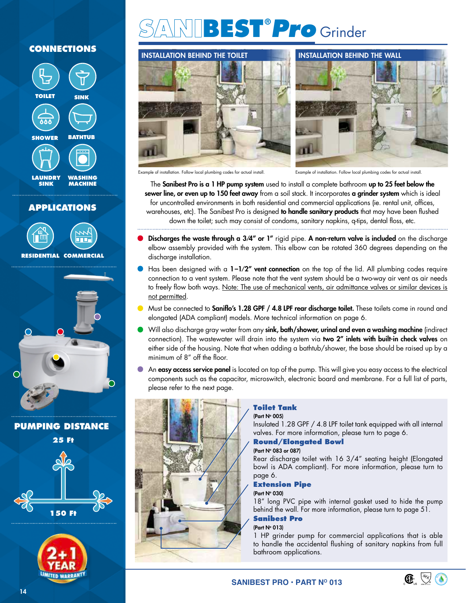# **CONNECTIONS**



## **APPLICATIONS**





**PUMPING DISTANCE**





# **SANIBEST®** *Pro* Grinder





Example of installation. Follow local plumbing codes for actual install. Example of installation. Follow local plumbing codes for actual install.

The Sanibest Pro is a 1 HP pump system used to install a complete bathroom up to 25 feet below the sewer line, or even up to 150 feet away from a soil stack. It incorporates a grinder system which is ideal for uncontrolled environments in both residential and commercial applications (ie. rental unit, offices, warehouses, etc). The Sanibest Pro is designed to handle sanitary products that may have been flushed down the toilet; such may consist of condoms, sanitary napkins, q-tips, dental floss, etc.

- Discharges the waste through a 3/4" or 1" rigid pipe. A non-return valve is included on the discharge elbow assembly provided with the system. This elbow can be rotated 360 degrees depending on the discharge installation.
- Has been designed with a  $1-1/2''$  vent connection on the top of the lid. All plumbing codes require connection to a vent system. Please note that the vent system should be a two-way air vent as air needs to freely flow both ways. Note: The use of mechanical vents, air admittance valves or similar devices is not permitted.
- Must be connected to **Saniflo's 1.28 GPF / 4.8 LPF rear discharge toilet.** These toilets come in round and elongated (ADA compliant) models. More technical information on page 6.
- Will also discharge gray water from any sink, bath/shower, urinal and even a washing machine (indirect connection). The wastewater will drain into the system via two 2" inlets with built-in check valves on either side of the housing. Note that when adding a bathtub/shower, the base should be raised up by a minimum of 8" off the floor.
- An easy access service panel is located on top of the pump. This will give you easy access to the electrical components such as the capacitor, microswitch, electronic board and membrane. For a full list of parts, please refer to the next page.



## **Toilet Tank**

(Part N° 005)

Insulated 1.28 GPF / 4.8 LPF toilet tank equipped with all internal valves. For more information, please turn to page 6.

## **Round/Elongated Bowl**

## (Part N° 083 or 087)

Rear discharge toilet with 16 3/4" seating height (Elongated bowl is ADA compliant). For more information, please turn to page 6.

## **Extension Pipe**

## (Part N° 030)

18" long PVC pipe with internal gasket used to hide the pump behind the wall. For more information, please turn to page 51.

## **Sanibest Pro**

## (Part N° 013)

1 HP grinder pump for commercial applications that is able to handle the accidental flushing of sanitary napkins from full bathroom applications.

**SANIBEST PRO • PART NO 013**